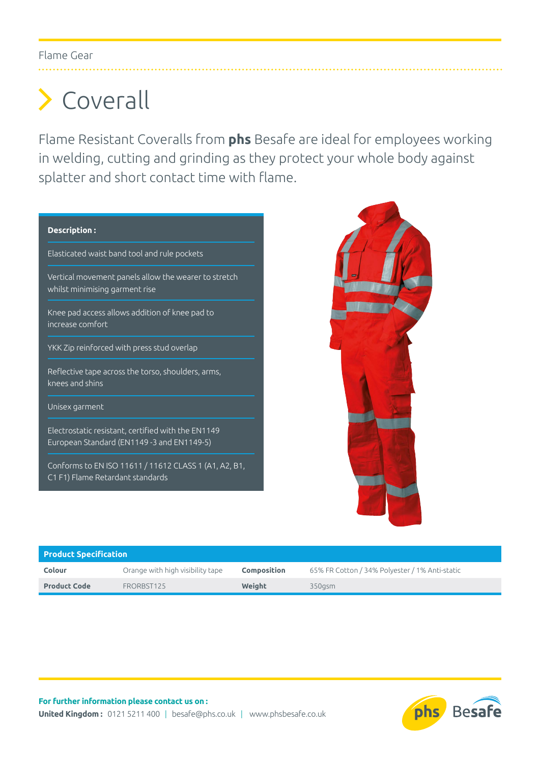## Coverall

Flame Resistant Coveralls from **phs** Besafe are ideal for employees working in welding, cutting and grinding as they protect your whole body against splatter and short contact time with flame.

## **Description :** Elasticated waist band tool and rule pockets Vertical movement panels allow the wearer to stretch whilst minimising garment rise Knee pad access allows addition of knee pad to increase comfort YKK Zip reinforced with press stud overlap Reflective tape across the torso, shoulders, arms, knees and shins Unisex garment Electrostatic resistant, certified with the EN1149 European Standard (EN1149 -3 and EN1149-5) Conforms to EN ISO 11611 / 11612 CLASS 1 (A1, A2, B1,

C1 F1) Flame Retardant standards



| <b>Product Specification</b> |                                  |                    |                                                |  |  |  |  |
|------------------------------|----------------------------------|--------------------|------------------------------------------------|--|--|--|--|
| Colour                       | Orange with high visibility tape | <b>Composition</b> | 65% FR Cotton / 34% Polyester / 1% Anti-static |  |  |  |  |
| <b>Product Code</b>          | FRORBST125                       | Weight             | 350gsm                                         |  |  |  |  |